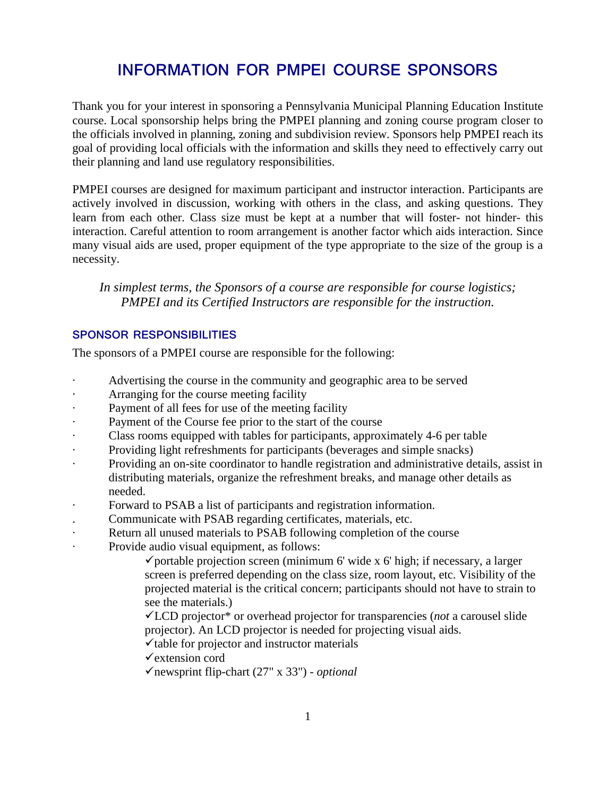# **INFORMATION FOR PMPEI COURSE SPONSORS**

Thank you for your interest in sponsoring a Pennsylvania Municipal Planning Education Institute course. Local sponsorship helps bring the PMPEI planning and zoning course program closer to the officials involved in planning, zoning and subdivision review. Sponsors help PMPEI reach its goal of providing local officials with the information and skills they need to effectively carry out their planning and land use regulatory responsibilities.

PMPEI courses are designed for maximum participant and instructor interaction. Participants are actively involved in discussion, working with others in the class, and asking questions. They learn from each other. Class size must be kept at a number that will foster- not hinder- this interaction. Careful attention to room arrangement is another factor which aids interaction. Since many visual aids are used, proper equipment of the type appropriate to the size of the group is a necessity.

*In simplest terms, the Sponsors of a course are responsible for course logistics; PMPEI and its Certified Instructors are responsible for the instruction.*

# **SPONSOR RESPONSIBILITIES**

The sponsors of a PMPEI course are responsible for the following:

- Advertising the course in the community and geographic area to be served
- Arranging for the course meeting facility
- Payment of all fees for use of the meeting facility
- Payment of the Course fee prior to the start of the course
- · Class rooms equipped with tables for participants, approximately 4-6 per table
- Providing light refreshments for participants (beverages and simple snacks)
- · Providing an on-site coordinator to handle registration and administrative details, assist in distributing materials, organize the refreshment breaks, and manage other details as needed.
- · Forward to PSAB a list of participants and registration information.
- . Communicate with PSAB regarding certificates, materials, etc.
- Return all unused materials to PSAB following completion of the course
- Provide audio visual equipment, as follows:

 $\checkmark$  portable projection screen (minimum 6' wide x 6' high; if necessary, a larger screen is preferred depending on the class size, room layout, etc. Visibility of the projected material is the critical concern; participants should not have to strain to see the materials.)

LCD projector\* or overhead projector for transparencies (*not* a carousel slide projector). An LCD projector is needed for projecting visual aids.

 $\checkmark$  table for projector and instructor materials

 $\checkmark$  extension cord

newsprint flip-chart (27" x 33") - *optional*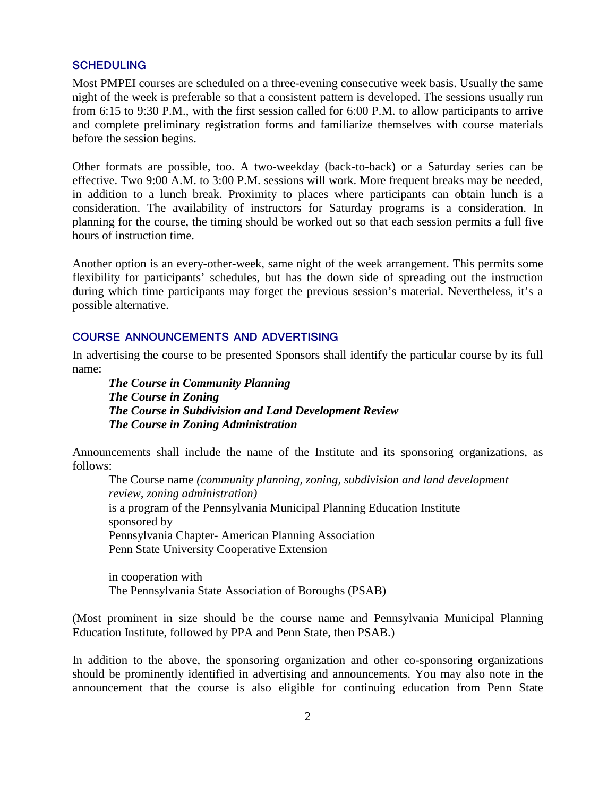#### **SCHEDULING**

Most PMPEI courses are scheduled on a three-evening consecutive week basis. Usually the same night of the week is preferable so that a consistent pattern is developed. The sessions usually run from 6:15 to 9:30 P.M., with the first session called for 6:00 P.M. to allow participants to arrive and complete preliminary registration forms and familiarize themselves with course materials before the session begins.

Other formats are possible, too. A two-weekday (back-to-back) or a Saturday series can be effective. Two 9:00 A.M. to 3:00 P.M. sessions will work. More frequent breaks may be needed, in addition to a lunch break. Proximity to places where participants can obtain lunch is a consideration. The availability of instructors for Saturday programs is a consideration. In planning for the course, the timing should be worked out so that each session permits a full five hours of instruction time.

Another option is an every-other-week, same night of the week arrangement. This permits some flexibility for participants' schedules, but has the down side of spreading out the instruction during which time participants may forget the previous session's material. Nevertheless, it's a possible alternative.

### **COURSE ANNOUNCEMENTS AND ADVERTISING**

In advertising the course to be presented Sponsors shall identify the particular course by its full name:

*The Course in Community Planning The Course in Zoning The Course in Subdivision and Land Development Review* *The Course in Zoning Administration*

Announcements shall include the name of the Institute and its sponsoring organizations, as follows:

The Course name *(community planning, zoning, subdivision and land development review, zoning administration)*  is a program of the Pennsylvania Municipal Planning Education Institute sponsored by Pennsylvania Chapter- American Planning Association Penn State University Cooperative Extension

in cooperation with The Pennsylvania State Association of Boroughs (PSAB)

(Most prominent in size should be the course name and Pennsylvania Municipal Planning Education Institute, followed by PPA and Penn State, then PSAB.)

In addition to the above, the sponsoring organization and other co-sponsoring organizations should be prominently identified in advertising and announcements. You may also note in the announcement that the course is also eligible for continuing education from Penn State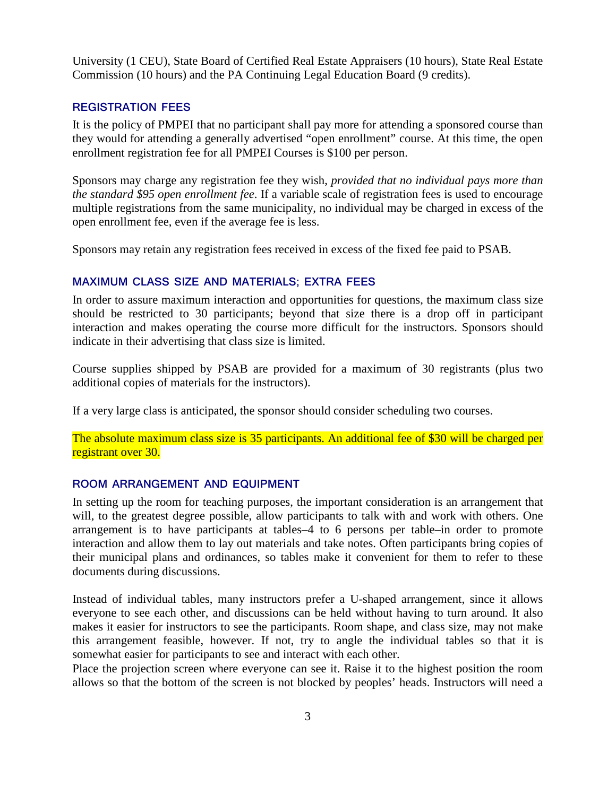University (1 CEU), State Board of Certified Real Estate Appraisers (10 hours), State Real Estate Commission (10 hours) and the PA Continuing Legal Education Board (9 credits).

# **REGISTRATION FEES**

It is the policy of PMPEI that no participant shall pay more for attending a sponsored course than they would for attending a generally advertised "open enrollment" course. At this time, the open enrollment registration fee for all PMPEI Courses is \$100 per person.

Sponsors may charge any registration fee they wish, *provided that no individual pays more than the standard \$95 open enrollment fee*. If a variable scale of registration fees is used to encourage multiple registrations from the same municipality, no individual may be charged in excess of the open enrollment fee, even if the average fee is less.

Sponsors may retain any registration fees received in excess of the fixed fee paid to PSAB.

## **MAXIMUM CLASS SIZE AND MATERIALS; EXTRA FEES**

In order to assure maximum interaction and opportunities for questions, the maximum class size should be restricted to 30 participants; beyond that size there is a drop off in participant interaction and makes operating the course more difficult for the instructors. Sponsors should indicate in their advertising that class size is limited.

Course supplies shipped by PSAB are provided for a maximum of 30 registrants (plus two additional copies of materials for the instructors).

If a very large class is anticipated, the sponsor should consider scheduling two courses.

The absolute maximum class size is 35 participants. An additional fee of \$30 will be charged per registrant over 30.

## **ROOM ARRANGEMENT AND EQUIPMENT**

In setting up the room for teaching purposes, the important consideration is an arrangement that will, to the greatest degree possible, allow participants to talk with and work with others. One arrangement is to have participants at tables–4 to 6 persons per table–in order to promote interaction and allow them to lay out materials and take notes. Often participants bring copies of their municipal plans and ordinances, so tables make it convenient for them to refer to these documents during discussions.

Instead of individual tables, many instructors prefer a U-shaped arrangement, since it allows everyone to see each other, and discussions can be held without having to turn around. It also makes it easier for instructors to see the participants. Room shape, and class size, may not make this arrangement feasible, however. If not, try to angle the individual tables so that it is somewhat easier for participants to see and interact with each other.

Place the projection screen where everyone can see it. Raise it to the highest position the room allows so that the bottom of the screen is not blocked by peoples' heads. Instructors will need a